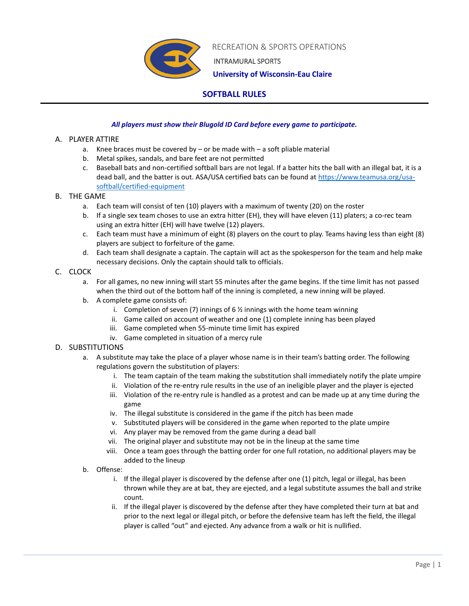

RECREATION & SPORTS OPERATIONS

INTRAMURAL SPORTS

 **University of Wisconsin-Eau Claire**

# **SOFTBALL RULES**

## *All players must show their Blugold ID Card before every game to participate.*

## A. PLAYER ATTIRE

- a. Knee braces must be covered by  $-$  or be made with  $-$  a soft pliable material
- b. Metal spikes, sandals, and bare feet are not permitted
- c. Baseball bats and non-certified softball bars are not legal. If a batter hits the ball with an illegal bat, it is a dead ball, and the batter is out. ASA/USA certified bats can be found a[t https://www.teamusa.org/usa](https://www.teamusa.org/usa-softball/certified-equipment)[softball/certified-equipment](https://www.teamusa.org/usa-softball/certified-equipment)

### B. THE GAME

- a. Each team will consist of ten (10) players with a maximum of twenty (20) on the roster
- b. If a single sex team choses to use an extra hitter (EH), they will have eleven (11) platers; a co-rec team using an extra hitter (EH) will have twelve (12) players.
- c. Each team must have a minimum of eight (8) players on the court to play. Teams having less than eight (8) players are subject to forfeiture of the game.
- d. Each team shall designate a captain. The captain will act as the spokesperson for the team and help make necessary decisions. Only the captain should talk to officials.

## C. CLOCK

- a. For all games, no new inning will start 55 minutes after the game begins. If the time limit has not passed when the third out of the bottom half of the inning is completed, a new inning will be played.
- b. A complete game consists of:
	- i. Completion of seven (7) innings of 6  $\frac{1}{2}$  innings with the home team winning
	- ii. Game called on account of weather and one (1) complete inning has been played
	- iii. Game completed when 55-minute time limit has expired
	- iv. Game completed in situation of a mercy rule

## D. SUBSTITUTIONS

- a. A substitute may take the place of a player whose name is in their team's batting order. The following regulations govern the substitution of players:
	- i. The team captain of the team making the substitution shall immediately notify the plate umpire
	- ii. Violation of the re-entry rule results in the use of an ineligible player and the player is ejected
	- iii. Violation of the re-entry rule is handled as a protest and can be made up at any time during the game
	- iv. The illegal substitute is considered in the game if the pitch has been made
	- v. Substituted players will be considered in the game when reported to the plate umpire
	- vi. Any player may be removed from the game during a dead ball
	- vii. The original player and substitute may not be in the lineup at the same time
	- viii. Once a team goes through the batting order for one full rotation, no additional players may be added to the lineup
- b. Offense:
	- i. If the illegal player is discovered by the defense after one (1) pitch, legal or illegal, has been thrown while they are at bat, they are ejected, and a legal substitute assumes the ball and strike count.
	- ii. If the illegal player is discovered by the defense after they have completed their turn at bat and prior to the next legal or illegal pitch, or before the defensive team has left the field, the illegal player is called "out" and ejected. Any advance from a walk or hit is nullified.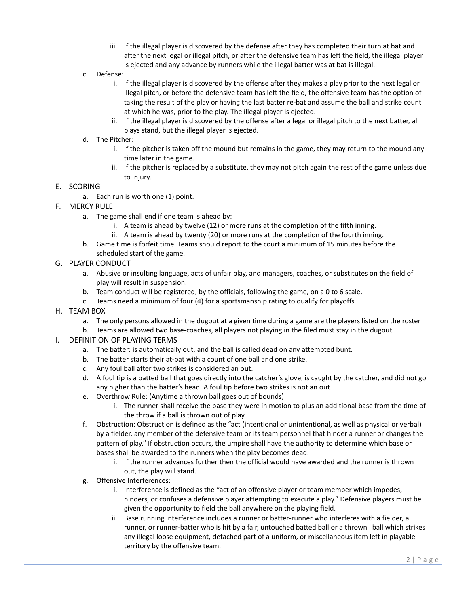- iii. If the illegal player is discovered by the defense after they has completed their turn at bat and after the next legal or illegal pitch, or after the defensive team has left the field, the illegal player is ejected and any advance by runners while the illegal batter was at bat is illegal.
- c. Defense:
	- i. If the illegal player is discovered by the offense after they makes a play prior to the next legal or illegal pitch, or before the defensive team has left the field, the offensive team has the option of taking the result of the play or having the last batter re-bat and assume the ball and strike count at which he was, prior to the play. The illegal player is ejected.
	- ii. If the illegal player is discovered by the offense after a legal or illegal pitch to the next batter, all plays stand, but the illegal player is ejected.
- d. The Pitcher:
	- i. If the pitcher is taken off the mound but remains in the game, they may return to the mound any time later in the game.
	- ii. If the pitcher is replaced by a substitute, they may not pitch again the rest of the game unless due to injury.

#### E. SCORING

- a. Each run is worth one (1) point.
- F. MERCY RULE
	- a. The game shall end if one team is ahead by:
		- i. A team is ahead by twelve (12) or more runs at the completion of the fifth inning.
		- ii. A team is ahead by twenty (20) or more runs at the completion of the fourth inning.
	- b. Game time is forfeit time. Teams should report to the court a minimum of 15 minutes before the scheduled start of the game.

#### G. PLAYER CONDUCT

- a. Abusive or insulting language, acts of unfair play, and managers, coaches, or substitutes on the field of play will result in suspension.
- b. Team conduct will be registered, by the officials, following the game, on a 0 to 6 scale.
- c. Teams need a minimum of four (4) for a sportsmanship rating to qualify for playoffs.
- H. TEAM BOX
	- a. The only persons allowed in the dugout at a given time during a game are the players listed on the roster
	- b. Teams are allowed two base-coaches, all players not playing in the filed must stay in the dugout

#### I. DEFINITION OF PLAYING TERMS

- a. The batter: is automatically out, and the ball is called dead on any attempted bunt.
- b. The batter starts their at-bat with a count of one ball and one strike.
- c. Any foul ball after two strikes is considered an out.
- d. A foul tip is a batted ball that goes directly into the catcher's glove, is caught by the catcher, and did not go any higher than the batter's head. A foul tip before two strikes is not an out.
- e. Overthrow Rule: (Anytime a thrown ball goes out of bounds)
	- i. The runner shall receive the base they were in motion to plus an additional base from the time of the throw if a ball is thrown out of play.
- f. Obstruction: Obstruction is defined as the "act (intentional or unintentional, as well as physical or verbal) by a fielder, any member of the defensive team or its team personnel that hinder a runner or changes the pattern of play." If obstruction occurs, the umpire shall have the authority to determine which base or bases shall be awarded to the runners when the play becomes dead.
	- i. If the runner advances further then the official would have awarded and the runner is thrown out, the play will stand.
- g. Offensive Interferences:
	- i. Interference is defined as the "act of an offensive player or team member which impedes, hinders, or confuses a defensive player attempting to execute a play." Defensive players must be given the opportunity to field the ball anywhere on the playing field.
	- ii. Base running interference includes a runner or batter-runner who interferes with a fielder, a runner, or runner-batter who is hit by a fair, untouched batted ball or a thrown ball which strikes any illegal loose equipment, detached part of a uniform, or miscellaneous item left in playable territory by the offensive team.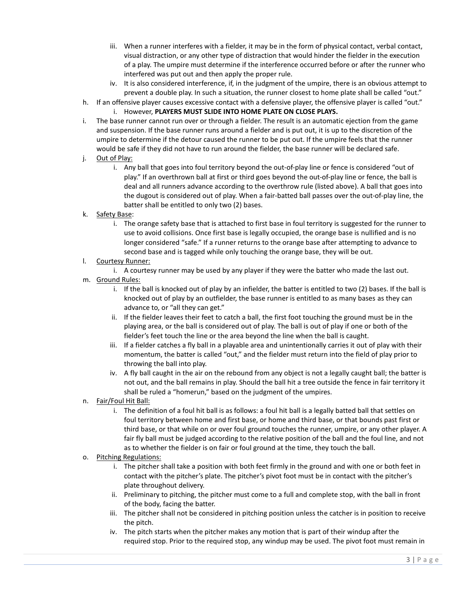- iii. When a runner interferes with a fielder, it may be in the form of physical contact, verbal contact, visual distraction, or any other type of distraction that would hinder the fielder in the execution of a play. The umpire must determine if the interference occurred before or after the runner who interfered was put out and then apply the proper rule.
- iv. It is also considered interference, if, in the judgment of the umpire, there is an obvious attempt to prevent a double play. In such a situation, the runner closest to home plate shall be called "out."
- h. If an offensive player causes excessive contact with a defensive player, the offensive player is called "out."
	- i. However, **PLAYERS MUST SLIDE INTO HOME PLATE ON CLOSE PLAYS.**
- i. The base runner cannot run over or through a fielder. The result is an automatic ejection from the game and suspension. If the base runner runs around a fielder and is put out, it is up to the discretion of the umpire to determine if the detour caused the runner to be put out. If the umpire feels that the runner would be safe if they did not have to run around the fielder, the base runner will be declared safe.
- j. Out of Play:
	- i. Any ball that goes into foul territory beyond the out-of-play line or fence is considered "out of play." If an overthrown ball at first or third goes beyond the out-of-play line or fence, the ball is deal and all runners advance according to the overthrow rule (listed above). A ball that goes into the dugout is considered out of play. When a fair-batted ball passes over the out-of-play line, the batter shall be entitled to only two (2) bases.
- k. Safety Base:
	- i. The orange safety base that is attached to first base in foul territory is suggested for the runner to use to avoid collisions. Once first base is legally occupied, the orange base is nullified and is no longer considered "safe." If a runner returns to the orange base after attempting to advance to second base and is tagged while only touching the orange base, they will be out.
- l. Courtesy Runner:
	- i. A courtesy runner may be used by any player if they were the batter who made the last out.
- m. Ground Rules:
	- i. If the ball is knocked out of play by an infielder, the batter is entitled to two (2) bases. If the ball is knocked out of play by an outfielder, the base runner is entitled to as many bases as they can advance to, or "all they can get."
	- ii. If the fielder leaves their feet to catch a ball, the first foot touching the ground must be in the playing area, or the ball is considered out of play. The ball is out of play if one or both of the fielder's feet touch the line or the area beyond the line when the ball is caught.
	- iii. If a fielder catches a fly ball in a playable area and unintentionally carries it out of play with their momentum, the batter is called "out," and the fielder must return into the field of play prior to throwing the ball into play.
	- iv. A fly ball caught in the air on the rebound from any object is not a legally caught ball; the batter is not out, and the ball remains in play. Should the ball hit a tree outside the fence in fair territory it shall be ruled a "homerun," based on the judgment of the umpires.
- n. Fair/Foul Hit Ball:
	- i. The definition of a foul hit ball is as follows: a foul hit ball is a legally batted ball that settles on foul territory between home and first base, or home and third base, or that bounds past first or third base, or that while on or over foul ground touches the runner, umpire, or any other player. A fair fly ball must be judged according to the relative position of the ball and the foul line, and not as to whether the fielder is on fair or foul ground at the time, they touch the ball.
- o. Pitching Regulations:
	- i. The pitcher shall take a position with both feet firmly in the ground and with one or both feet in contact with the pitcher's plate. The pitcher's pivot foot must be in contact with the pitcher's plate throughout delivery.
	- ii. Preliminary to pitching, the pitcher must come to a full and complete stop, with the ball in front of the body, facing the batter.
	- iii. The pitcher shall not be considered in pitching position unless the catcher is in position to receive the pitch.
	- iv. The pitch starts when the pitcher makes any motion that is part of their windup after the required stop. Prior to the required stop, any windup may be used. The pivot foot must remain in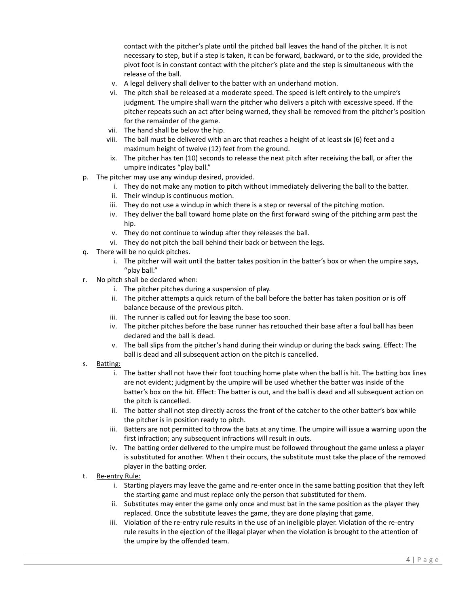contact with the pitcher's plate until the pitched ball leaves the hand of the pitcher. It is not necessary to step, but if a step is taken, it can be forward, backward, or to the side, provided the pivot foot is in constant contact with the pitcher's plate and the step is simultaneous with the release of the ball.

- v. A legal delivery shall deliver to the batter with an underhand motion.
- vi. The pitch shall be released at a moderate speed. The speed is left entirely to the umpire's judgment. The umpire shall warn the pitcher who delivers a pitch with excessive speed. If the pitcher repeats such an act after being warned, they shall be removed from the pitcher's position for the remainder of the game.
- vii. The hand shall be below the hip.
- viii. The ball must be delivered with an arc that reaches a height of at least six (6) feet and a maximum height of twelve (12) feet from the ground.
- ix. The pitcher has ten (10) seconds to release the next pitch after receiving the ball, or after the umpire indicates "play ball."
- p. The pitcher may use any windup desired, provided.
	- i. They do not make any motion to pitch without immediately delivering the ball to the batter.
	- ii. Their windup is continuous motion.
	- iii. They do not use a windup in which there is a step or reversal of the pitching motion.
	- iv. They deliver the ball toward home plate on the first forward swing of the pitching arm past the hip.
	- v. They do not continue to windup after they releases the ball.
	- vi. They do not pitch the ball behind their back or between the legs.
- q. There will be no quick pitches.
	- i. The pitcher will wait until the batter takes position in the batter's box or when the umpire says, "play ball."
- r. No pitch shall be declared when:
	- i. The pitcher pitches during a suspension of play.
	- ii. The pitcher attempts a quick return of the ball before the batter has taken position or is off balance because of the previous pitch.
	- iii. The runner is called out for leaving the base too soon.
	- iv. The pitcher pitches before the base runner has retouched their base after a foul ball has been declared and the ball is dead.
	- v. The ball slips from the pitcher's hand during their windup or during the back swing. Effect: The ball is dead and all subsequent action on the pitch is cancelled.
- s. Batting:
	- i. The batter shall not have their foot touching home plate when the ball is hit. The batting box lines are not evident; judgment by the umpire will be used whether the batter was inside of the batter's box on the hit. Effect: The batter is out, and the ball is dead and all subsequent action on the pitch is cancelled.
	- ii. The batter shall not step directly across the front of the catcher to the other batter's box while the pitcher is in position ready to pitch.
	- iii. Batters are not permitted to throw the bats at any time. The umpire will issue a warning upon the first infraction; any subsequent infractions will result in outs.
	- iv. The batting order delivered to the umpire must be followed throughout the game unless a player is substituted for another. When t their occurs, the substitute must take the place of the removed player in the batting order.
- t. Re-entry Rule:
	- i. Starting players may leave the game and re-enter once in the same batting position that they left the starting game and must replace only the person that substituted for them.
	- ii. Substitutes may enter the game only once and must bat in the same position as the player they replaced. Once the substitute leaves the game, they are done playing that game.
	- iii. Violation of the re-entry rule results in the use of an ineligible player. Violation of the re-entry rule results in the ejection of the illegal player when the violation is brought to the attention of the umpire by the offended team.